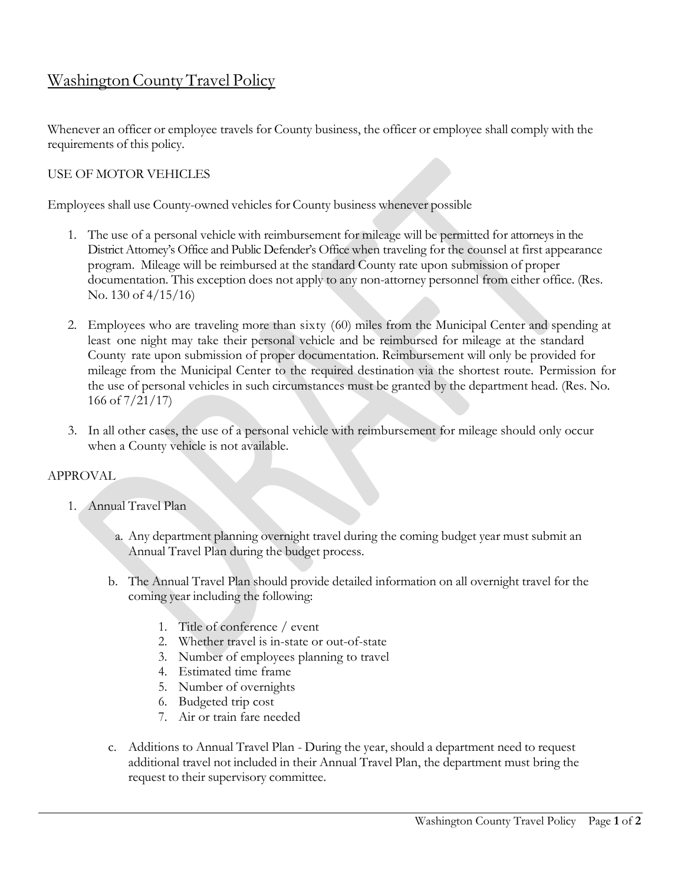# Washington County Travel Policy

Whenever an officer or employee travels for County business, the officer or employee shall comply with the requirements of this policy.

# USE OF MOTOR VEHICLES

Employees shall use County-owned vehicles for County business whenever possible

- 1. The use of a personal vehicle with reimbursement for mileage will be permitted for attorneys in the District Attorney's Office and Public Defender's Office when traveling for the counsel at first appearance program. Mileage will be reimbursed at the standard County rate upon submission of proper documentation. This exception does not apply to any non-attorney personnel from either office. (Res. No. 130 of 4/15/16)
- 2. Employees who are traveling more than sixty (60) miles from the Municipal Center and spending at least one night may take their personal vehicle and be reimbursed for mileage at the standard County rate upon submission of proper documentation. Reimbursement will only be provided for mileage from the Municipal Center to the required destination via the shortest route. Permission for the use of personal vehicles in such circumstances must be granted by the department head. (Res. No. 166 of 7/21/17)
- 3. In all other cases, the use of a personal vehicle with reimbursement for mileage should only occur when a County vehicle is not available.

# APPROVAL

- 1. Annual Travel Plan
	- a. Any department planning overnight travel during the coming budget year must submit an Annual Travel Plan during the budget process.
	- b. The Annual Travel Plan should provide detailed information on all overnight travel for the coming year including the following:
		- 1. Title of conference / event
		- 2. Whether travel is in-state or out-of-state
		- 3. Number of employees planning to travel
		- 4. Estimated time frame
		- 5. Number of overnights
		- 6. Budgeted trip cost
		- 7. Air or train fare needed
	- c. Additions to Annual Travel Plan During the year, should a department need to request additional travel not included in their Annual Travel Plan, the department must bring the request to their supervisory committee.